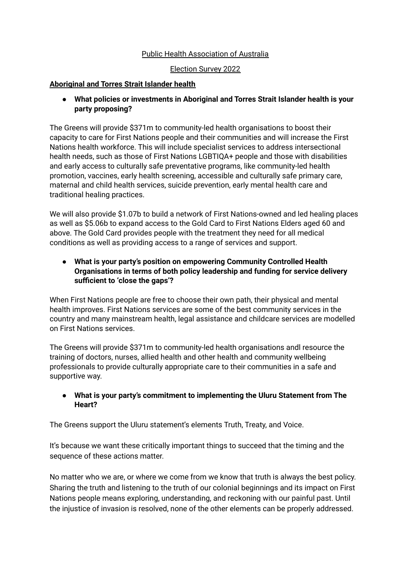# Public Health Association of Australia

#### Election Survey 2022

#### **Aboriginal and Torres Strait Islander health**

**● What policies or investments in Aboriginal and Torres Strait Islander health is your party proposing?**

The Greens will provide \$371m to community-led health organisations to boost their capacity to care for First Nations people and their communities and will increase the First Nations health workforce. This will include specialist services to address intersectional health needs, such as those of First Nations LGBTIQA+ people and those with disabilities and early access to culturally safe preventative programs, like community-led health promotion, vaccines, early health screening, accessible and culturally safe primary care, maternal and child health services, suicide prevention, early mental health care and traditional healing practices.

We will also provide \$1.07b to build a network of First Nations-owned and led healing places as well as \$5.06b to expand access to the Gold Card to First Nations Elders aged 60 and above. The Gold Card provides people with the treatment they need for all medical conditions as well as providing access to a range of services and support.

# **● What is your party's position on empowering Community Controlled Health Organisations in terms of both policy leadership and funding for service delivery sufficient to 'close the gaps'?**

When First Nations people are free to choose their own path, their physical and mental health improves. First Nations services are some of the best community services in the country and many mainstream health, legal assistance and childcare services are modelled on First Nations services.

The Greens will provide \$371m to community-led health organisations andl resource the training of doctors, nurses, allied health and other health and community wellbeing professionals to provide culturally appropriate care to their communities in a safe and supportive way.

# **● What is your party's commitment to implementing the Uluru Statement from The Heart?**

The Greens support the Uluru statement's elements Truth, Treaty, and Voice.

It's because we want these critically important things to succeed that the timing and the sequence of these actions matter.

No matter who we are, or where we come from we know that truth is always the best policy. Sharing the truth and listening to the truth of our colonial beginnings and its impact on First Nations people means exploring, understanding, and reckoning with our painful past. Until the injustice of invasion is resolved, none of the other elements can be properly addressed.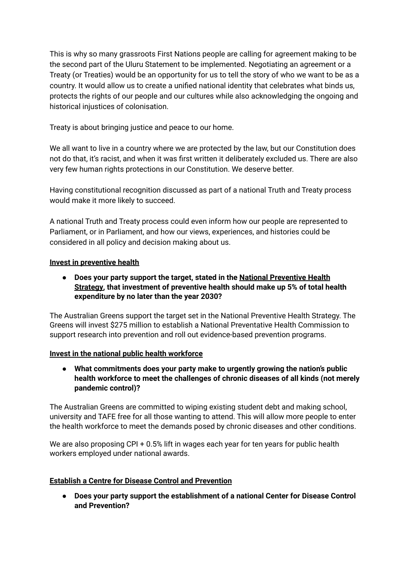This is why so many grassroots First Nations people are calling for agreement making to be the second part of the Uluru Statement to be implemented. Negotiating an agreement or a Treaty (or Treaties) would be an opportunity for us to tell the story of who we want to be as a country. It would allow us to create a unified national identity that celebrates what binds us, protects the rights of our people and our cultures while also acknowledging the ongoing and historical injustices of colonisation.

Treaty is about bringing justice and peace to our home.

We all want to live in a country where we are protected by the law, but our Constitution does not do that, it's racist, and when it was first written it deliberately excluded us. There are also very few human rights protections in our Constitution. We deserve better.

Having constitutional recognition discussed as part of a national Truth and Treaty process would make it more likely to succeed.

A national Truth and Treaty process could even inform how our people are represented to Parliament, or in Parliament, and how our views, experiences, and histories could be considered in all policy and decision making about us.

# **Invest in preventive health**

**● Does your party support the target, stated in the National [Preventive](https://www.health.gov.au/resources/publications/national-preventive-health-strategy-2021-2030) Health [Strategy,](https://www.health.gov.au/resources/publications/national-preventive-health-strategy-2021-2030) that investment of preventive health should make up 5% of total health expenditure by no later than the year 2030?**

The Australian Greens support the target set in the National Preventive Health Strategy. The Greens will invest \$275 million to establish a National Preventative Health Commission to support research into prevention and roll out evidence-based prevention programs.

# **Invest in the national public health workforce**

**● What commitments does your party make to urgently growing the nation's public health workforce to meet the challenges of chronic diseases of all kinds (not merely pandemic control)?**

The Australian Greens are committed to wiping existing student debt and making school, university and TAFE free for all those wanting to attend. This will allow more people to enter the health workforce to meet the demands posed by chronic diseases and other conditions.

We are also proposing CPI + 0.5% lift in wages each year for ten years for public health workers employed under national awards.

# **Establish a Centre for Disease Control and Prevention**

**● Does your party support the establishment of a national Center for Disease Control and Prevention?**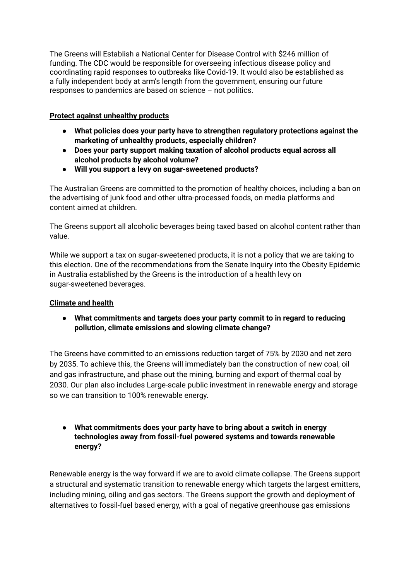The Greens will Establish a National Center for Disease Control with \$246 million of funding. The CDC would be responsible for overseeing infectious disease policy and coordinating rapid responses to outbreaks like Covid-19. It would also be established as a fully independent body at arm's length from the government, ensuring our future responses to pandemics are based on science – not politics.

# **Protect against unhealthy products**

- **● What policies does your party have to strengthen regulatory protections against the marketing of unhealthy products, especially children?**
- **● Does your party support making taxation of alcohol products equal across all alcohol products by alcohol volume?**
- **● Will you support a levy on sugar-sweetened products?**

The Australian Greens are committed to the promotion of healthy choices, including a ban on the advertising of junk food and other ultra-processed foods, on media platforms and content aimed at children.

The Greens support all alcoholic beverages being taxed based on alcohol content rather than value.

While we support a tax on sugar-sweetened products, it is not a policy that we are taking to this election. One of the recommendations from the Senate Inquiry into the Obesity Epidemic in Australia established by the Greens is the introduction of a health levy on sugar-sweetened beverages.

# **Climate and health**

**● What commitments and targets does your party commit to in regard to reducing pollution, climate emissions and slowing climate change?**

The Greens have committed to an emissions reduction target of 75% by 2030 and net zero by 2035. To achieve this, the Greens will immediately ban the construction of new coal, oil and gas infrastructure, and phase out the mining, burning and export of thermal coal by 2030. Our plan also includes Large-scale public investment in renewable energy and storage so we can transition to 100% renewable energy.

**● What commitments does your party have to bring about a switch in energy technologies away from fossil-fuel powered systems and towards renewable energy?**

Renewable energy is the way forward if we are to avoid climate collapse. The Greens support a structural and systematic transition to renewable energy which targets the largest emitters, including mining, oiling and gas sectors. The Greens support the growth and deployment of alternatives to fossil-fuel based energy, with a goal of negative greenhouse gas emissions